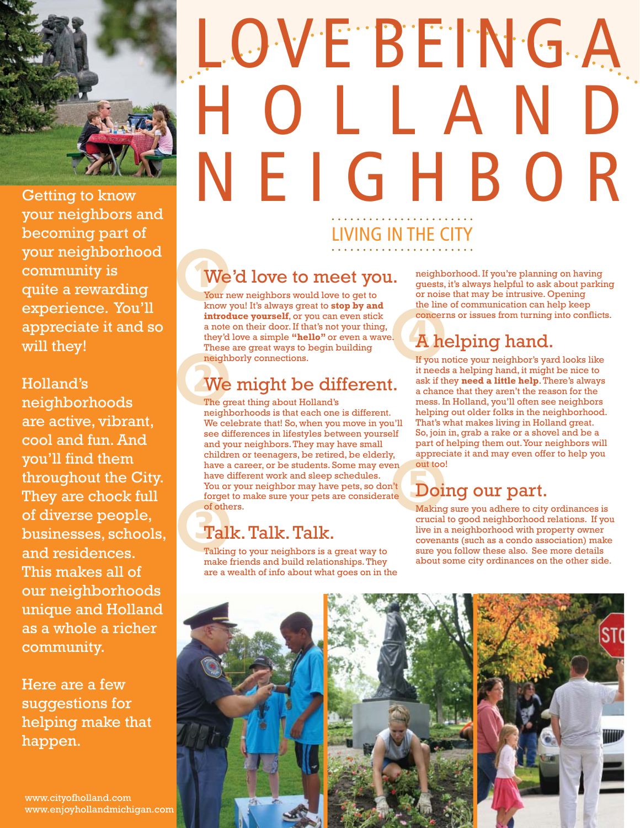## LOVE BEING A H O L L A N D NEIGHBOR LIVING IN THE CITY

## **1** We'd love to meet you.

Your new neighbors would love to get to know you! It's always great to **stop by and introduce yourself**, or you can even stick a note on their door. If that's not your thing, they'd love a simple **"hello"** or even a wave. These are great ways to begin building neighborly connections.

## **2** We might be different.

The great thing about Holland's neighborhoods is that each one is different. We celebrate that! So, when you move in you'll see differences in lifestyles between yourself and your neighbors. They may have small children or teenagers, be retired, be elderly, have a career, or be students. Some may even have different work and sleep schedules. You or your neighbor may have pets, so don't forget to make sure your pets are considerate of others.

## **3** Talk. Talk. Talk.

Talking to your neighbors is a great way to make friends and build relationships. They are a wealth of info about what goes on in the neighborhood. If you're planning on having guests, it's always helpful to ask about parking or noise that may be intrusive. Opening the line of communication can help keep concerns or issues from turning into conflicts.

## **4** helping hand.

If you notice your neighbor's yard looks like it needs a helping hand, it might be nice to ask if they **need a little help**. There's always a chance that they aren't the reason for the mess. In Holland, you'll often see neighbors helping out older folks in the neighborhood. That's what makes living in Holland great. So, join in, grab a rake or a shovel and be a part of helping them out. Your neighbors will appreciate it and may even offer to help you out too!

## **5** Doing our part.

Making sure you adhere to city ordinances is crucial to good neighborhood relations. If you live in a neighborhood with property owner covenants (such as a condo association) make sure you follow these also. See more details about some city ordinances on the other side.



Getting to know your neighbors and becoming part of your neighborhood community is quite a rewarding experience. You'll appreciate it and so will they!

Holland's neighborhoods are active, vibrant, cool and fun. And you'll find them throughout the City. They are chock full of diverse people, businesses, schools, and residences. This makes all of our neighborhoods unique and Holland as a whole a richer community.

Here are a few suggestions for helping make that happen.

www.cityofholland.com www.enjoyhollandmichigan.com